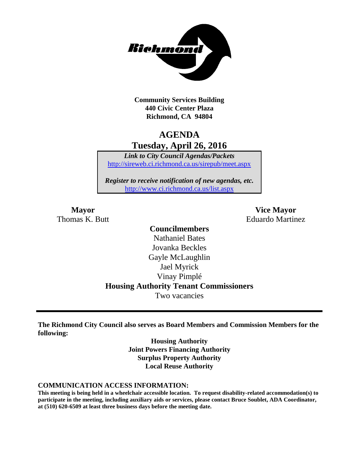

**Community Services Building 440 Civic Center Plaza Richmond, CA 94804**

## **AGENDA Tuesday, April 26, 2016**

*Link to City Council Agendas/Packets* <http://sireweb.ci.richmond.ca.us/sirepub/meet.aspx>

*Register to receive notification of new agendas, etc.* <http://www.ci.richmond.ca.us/list.aspx>

**Mayor Vice Mayor** Thomas K. Butt **Eduardo Martinez** 

## **Councilmembers** Nathaniel Bates Jovanka Beckles Gayle McLaughlin Jael Myrick Vinay Pimplé **Housing Authority Tenant Commissioners** Two vacancies

**The Richmond City Council also serves as Board Members and Commission Members for the following:**

> **Housing Authority Joint Powers Financing Authority Surplus Property Authority Local Reuse Authority**

#### **COMMUNICATION ACCESS INFORMATION:**

**This meeting is being held in a wheelchair accessible location. To request disability-related accommodation(s) to participate in the meeting, including auxiliary aids or services, please contact Bruce Soublet, ADA Coordinator, at (510) 620-6509 at least three business days before the meeting date.**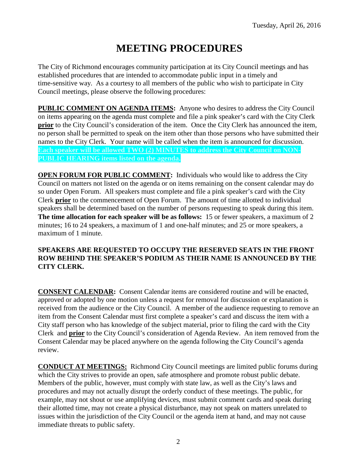# **MEETING PROCEDURES**

The City of Richmond encourages community participation at its City Council meetings and has established procedures that are intended to accommodate public input in a timely and time-sensitive way. As a courtesy to all members of the public who wish to participate in City Council meetings, please observe the following procedures:

**PUBLIC COMMENT ON AGENDA ITEMS:** Anyone who desires to address the City Council on items appearing on the agenda must complete and file a pink speaker's card with the City Clerk **prior** to the City Council's consideration of the item. Once the City Clerk has announced the item, no person shall be permitted to speak on the item other than those persons who have submitted their names to the City Clerk. Your name will be called when the item is announced for discussion. **Each speaker will be allowed TWO (2) MINUTES to address the City Council on NON-PUBLIC HEARING items listed on the agenda.**

**OPEN FORUM FOR PUBLIC COMMENT:** Individuals who would like to address the City Council on matters not listed on the agenda or on items remaining on the consent calendar may do so under Open Forum. All speakers must complete and file a pink speaker's card with the City Clerk **prior** to the commencement of Open Forum. The amount of time allotted to individual speakers shall be determined based on the number of persons requesting to speak during this item. **The time allocation for each speaker will be as follows:** 15 or fewer speakers, a maximum of 2 minutes; 16 to 24 speakers, a maximum of 1 and one-half minutes; and 25 or more speakers, a maximum of 1 minute.

## **SPEAKERS ARE REQUESTED TO OCCUPY THE RESERVED SEATS IN THE FRONT ROW BEHIND THE SPEAKER'S PODIUM AS THEIR NAME IS ANNOUNCED BY THE CITY CLERK.**

**CONSENT CALENDAR:** Consent Calendar items are considered routine and will be enacted, approved or adopted by one motion unless a request for removal for discussion or explanation is received from the audience or the City Council. A member of the audience requesting to remove an item from the Consent Calendar must first complete a speaker's card and discuss the item with a City staff person who has knowledge of the subject material, prior to filing the card with the City Clerk and **prior** to the City Council's consideration of Agenda Review. An item removed from the Consent Calendar may be placed anywhere on the agenda following the City Council's agenda review.

**CONDUCT AT MEETINGS:** Richmond City Council meetings are limited public forums during which the City strives to provide an open, safe atmosphere and promote robust public debate. Members of the public, however, must comply with state law, as well as the City's laws and procedures and may not actually disrupt the orderly conduct of these meetings. The public, for example, may not shout or use amplifying devices, must submit comment cards and speak during their allotted time, may not create a physical disturbance, may not speak on matters unrelated to issues within the jurisdiction of the City Council or the agenda item at hand, and may not cause immediate threats to public safety.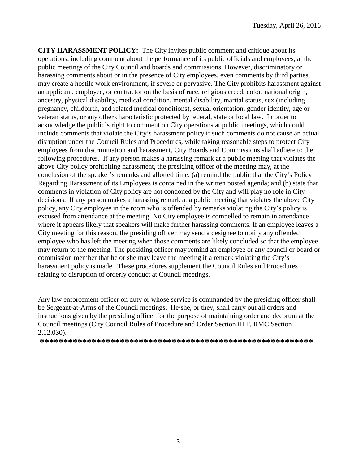**CITY HARASSMENT POLICY:** The City invites public comment and critique about its operations, including comment about the performance of its public officials and employees, at the public meetings of the City Council and boards and commissions. However, discriminatory or harassing comments about or in the presence of City employees, even comments by third parties, may create a hostile work environment, if severe or pervasive. The City prohibits harassment against an applicant, employee, or contractor on the basis of race, religious creed, color, national origin, ancestry, physical disability, medical condition, mental disability, marital status, sex (including pregnancy, childbirth, and related medical conditions), sexual orientation, gender identity, age or veteran status, or any other characteristic protected by federal, state or local law. In order to acknowledge the public's right to comment on City operations at public meetings, which could include comments that violate the City's harassment policy if such comments do not cause an actual disruption under the Council Rules and Procedures, while taking reasonable steps to protect City employees from discrimination and harassment, City Boards and Commissions shall adhere to the following procedures. If any person makes a harassing remark at a public meeting that violates the above City policy prohibiting harassment, the presiding officer of the meeting may, at the conclusion of the speaker's remarks and allotted time: (a) remind the public that the City's Policy Regarding Harassment of its Employees is contained in the written posted agenda; and (b) state that comments in violation of City policy are not condoned by the City and will play no role in City decisions. If any person makes a harassing remark at a public meeting that violates the above City policy, any City employee in the room who is offended by remarks violating the City's policy is excused from attendance at the meeting. No City employee is compelled to remain in attendance where it appears likely that speakers will make further harassing comments. If an employee leaves a City meeting for this reason, the presiding officer may send a designee to notify any offended employee who has left the meeting when those comments are likely concluded so that the employee may return to the meeting. The presiding officer may remind an employee or any council or board or commission member that he or she may leave the meeting if a remark violating the City's harassment policy is made. These procedures supplement the Council Rules and Procedures relating to disruption of orderly conduct at Council meetings.

Any law enforcement officer on duty or whose service is commanded by the presiding officer shall be Sergeant-at-Arms of the Council meetings. He/she, or they, shall carry out all orders and instructions given by the presiding officer for the purpose of maintaining order and decorum at the Council meetings (City Council Rules of Procedure and Order Section III F, RMC Section 2.12.030).

**\*\*\*\*\*\*\*\*\*\*\*\*\*\*\*\*\*\*\*\*\*\*\*\*\*\*\*\*\*\*\*\*\*\*\*\*\*\*\*\*\*\*\*\*\*\*\*\*\*\*\*\*\*\*\*\*\*\***

3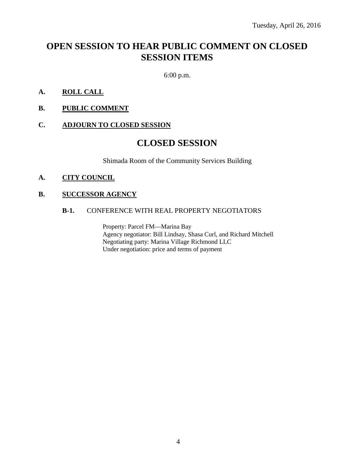# **OPEN SESSION TO HEAR PUBLIC COMMENT ON CLOSED SESSION ITEMS**

6:00 p.m.

- **A. ROLL CALL**
- **B. PUBLIC COMMENT**

#### **C. ADJOURN TO CLOSED SESSION**

## **CLOSED SESSION**

Shimada Room of the Community Services Building

#### **A. CITY COUNCIL**

### **B. SUCCESSOR AGENCY**

#### **B-1.** CONFERENCE WITH REAL PROPERTY NEGOTIATORS

Property: Parcel FM—Marina Bay Agency negotiator: Bill Lindsay, Shasa Curl, and Richard Mitchell Negotiating party: Marina Village Richmond LLC Under negotiation: price and terms of payment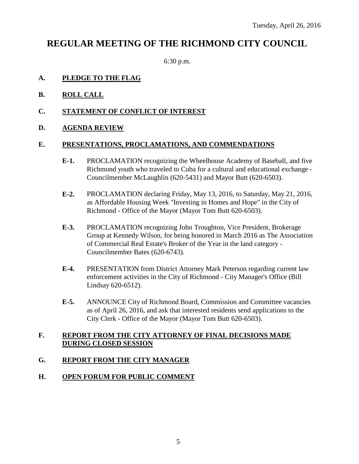## **REGULAR MEETING OF THE RICHMOND CITY COUNCIL**

6:30 p.m.

## **A. PLEDGE TO THE FLAG**

- **B. ROLL CALL**
- **C. STATEMENT OF CONFLICT OF INTEREST**
- **D. AGENDA REVIEW**

### **E. PRESENTATIONS, PROCLAMATIONS, AND COMMENDATIONS**

- **E-1.** PROCLAMATION recognizing the Wheelhouse Academy of Baseball, and five Richmond youth who traveled to Cuba for a cultural and educational exchange - Councilmember McLaughlin (620-5431) and Mayor Butt (620-6503).
- **E-2.** PROCLAMATION declaring Friday, May 13, 2016, to Saturday, May 21, 2016, as Affordable Housing Week "Investing in Homes and Hope" in the City of Richmond - Office of the Mayor (Mayor Tom Butt 620-6503).
- **E-3.** PROCLAMATION recognizing John Troughton, Vice President, Brokerage Group at Kennedy Wilson, for being honored in March 2016 as The Association of Commercial Real Estate's Broker of the Year in the land category - Councilmember Bates (620-6743).
- **E-4.** PRESENTATION from District Attorney Mark Peterson regarding current law enforcement activities in the City of Richmond - City Manager's Office (Bill Lindsay 620-6512).
- **E-5.** ANNOUNCE City of Richmond Board, Commission and Committee vacancies as of April 26, 2016, and ask that interested residents send applications to the City Clerk - Office of the Mayor (Mayor Tom Butt 620-6503).

## **F. REPORT FROM THE CITY ATTORNEY OF FINAL DECISIONS MADE DURING CLOSED SESSION**

## **G. REPORT FROM THE CITY MANAGER**

### **H. OPEN FORUM FOR PUBLIC COMMENT**